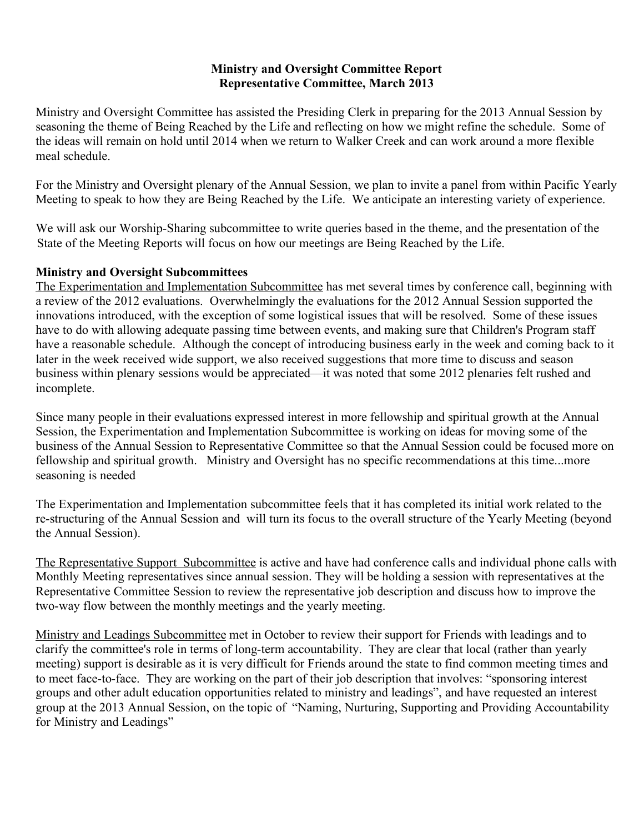### **Ministry and Oversight Committee Report Representative Committee, March 2013**

Ministry and Oversight Committee has assisted the Presiding Clerk in preparing for the 2013 Annual Session by seasoning the theme of Being Reached by the Life and reflecting on how we might refine the schedule. Some of the ideas will remain on hold until 2014 when we return to Walker Creek and can work around a more flexible meal schedule.

For the Ministry and Oversight plenary of the Annual Session, we plan to invite a panel from within Pacific Yearly Meeting to speak to how they are Being Reached by the Life. We anticipate an interesting variety of experience.

We will ask our Worship-Sharing subcommittee to write queries based in the theme, and the presentation of the State of the Meeting Reports will focus on how our meetings are Being Reached by the Life.

### **Ministry and Oversight Subcommittees**

The Experimentation and Implementation Subcommittee has met several times by conference call, beginning with a review of the 2012 evaluations. Overwhelmingly the evaluations for the 2012 Annual Session supported the innovations introduced, with the exception of some logistical issues that will be resolved. Some of these issues have to do with allowing adequate passing time between events, and making sure that Children's Program staff have a reasonable schedule. Although the concept of introducing business early in the week and coming back to it later in the week received wide support, we also received suggestions that more time to discuss and season business within plenary sessions would be appreciated—it was noted that some 2012 plenaries felt rushed and incomplete.

Since many people in their evaluations expressed interest in more fellowship and spiritual growth at the Annual Session, the Experimentation and Implementation Subcommittee is working on ideas for moving some of the business of the Annual Session to Representative Committee so that the Annual Session could be focused more on fellowship and spiritual growth. Ministry and Oversight has no specific recommendations at this time...more seasoning is needed

The Experimentation and Implementation subcommittee feels that it has completed its initial work related to the re-structuring of the Annual Session and will turn its focus to the overall structure of the Yearly Meeting (beyond the Annual Session).

The Representative Support Subcommittee is active and have had conference calls and individual phone calls with Monthly Meeting representatives since annual session. They will be holding a session with representatives at the Representative Committee Session to review the representative job description and discuss how to improve the two-way flow between the monthly meetings and the yearly meeting.

Ministry and Leadings Subcommittee met in October to review their support for Friends with leadings and to clarify the committee's role in terms of long-term accountability. They are clear that local (rather than yearly meeting) support is desirable as it is very difficult for Friends around the state to find common meeting times and to meet face-to-face. They are working on the part of their job description that involves: "sponsoring interest groups and other adult education opportunities related to ministry and leadings", and have requested an interest group at the 2013 Annual Session, on the topic of "Naming, Nurturing, Supporting and Providing Accountability for Ministry and Leadings"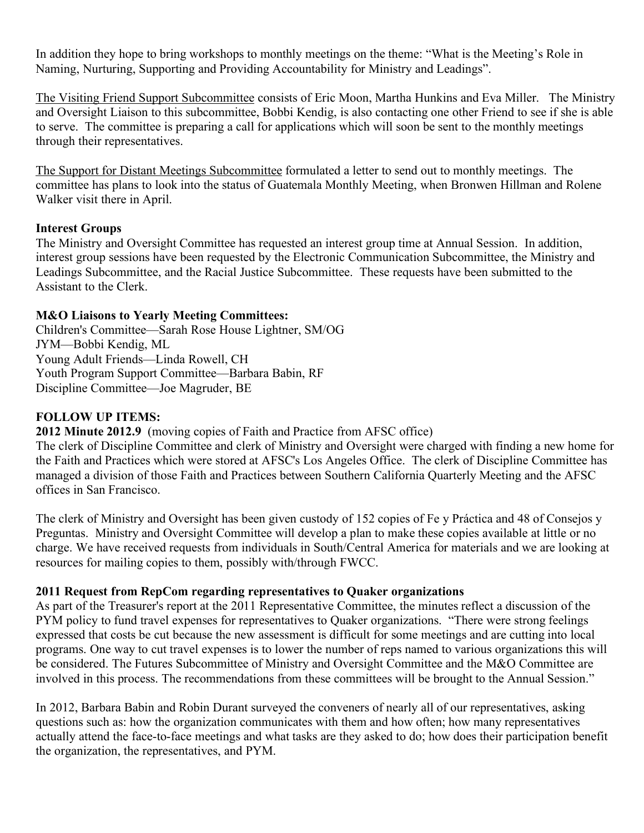In addition they hope to bring workshops to monthly meetings on the theme: "What is the Meeting's Role in Naming, Nurturing, Supporting and Providing Accountability for Ministry and Leadings".

The Visiting Friend Support Subcommittee consists of Eric Moon, Martha Hunkins and Eva Miller. The Ministry and Oversight Liaison to this subcommittee, Bobbi Kendig, is also contacting one other Friend to see if she is able to serve. The committee is preparing a call for applications which will soon be sent to the monthly meetings through their representatives.

The Support for Distant Meetings Subcommittee formulated a letter to send out to monthly meetings. The committee has plans to look into the status of Guatemala Monthly Meeting, when Bronwen Hillman and Rolene Walker visit there in April.

### **Interest Groups**

The Ministry and Oversight Committee has requested an interest group time at Annual Session. In addition, interest group sessions have been requested by the Electronic Communication Subcommittee, the Ministry and Leadings Subcommittee, and the Racial Justice Subcommittee. These requests have been submitted to the Assistant to the Clerk.

## **M&O Liaisons to Yearly Meeting Committees:**

Children's Committee—Sarah Rose House Lightner, SM/OG JYM—Bobbi Kendig, ML Young Adult Friends—Linda Rowell, CH Youth Program Support Committee—Barbara Babin, RF Discipline Committee—Joe Magruder, BE

### **FOLLOW UP ITEMS:**

**2012 Minute 2012.9** (moving copies of Faith and Practice from AFSC office)

The clerk of Discipline Committee and clerk of Ministry and Oversight were charged with finding a new home for the Faith and Practices which were stored at AFSC's Los Angeles Office. The clerk of Discipline Committee has managed a division of those Faith and Practices between Southern California Quarterly Meeting and the AFSC offices in San Francisco.

The clerk of Ministry and Oversight has been given custody of 152 copies of Fe y Práctica and 48 of Consejos y Preguntas. Ministry and Oversight Committee will develop a plan to make these copies available at little or no charge. We have received requests from individuals in South/Central America for materials and we are looking at resources for mailing copies to them, possibly with/through FWCC.

### **2011 Request from RepCom regarding representatives to Quaker organizations**

As part of the Treasurer's report at the 2011 Representative Committee, the minutes reflect a discussion of the PYM policy to fund travel expenses for representatives to Quaker organizations. "There were strong feelings expressed that costs be cut because the new assessment is difficult for some meetings and are cutting into local programs. One way to cut travel expenses is to lower the number of reps named to various organizations this will be considered. The Futures Subcommittee of Ministry and Oversight Committee and the M&O Committee are involved in this process. The recommendations from these committees will be brought to the Annual Session."

In 2012, Barbara Babin and Robin Durant surveyed the conveners of nearly all of our representatives, asking questions such as: how the organization communicates with them and how often; how many representatives actually attend the face-to-face meetings and what tasks are they asked to do; how does their participation benefit the organization, the representatives, and PYM.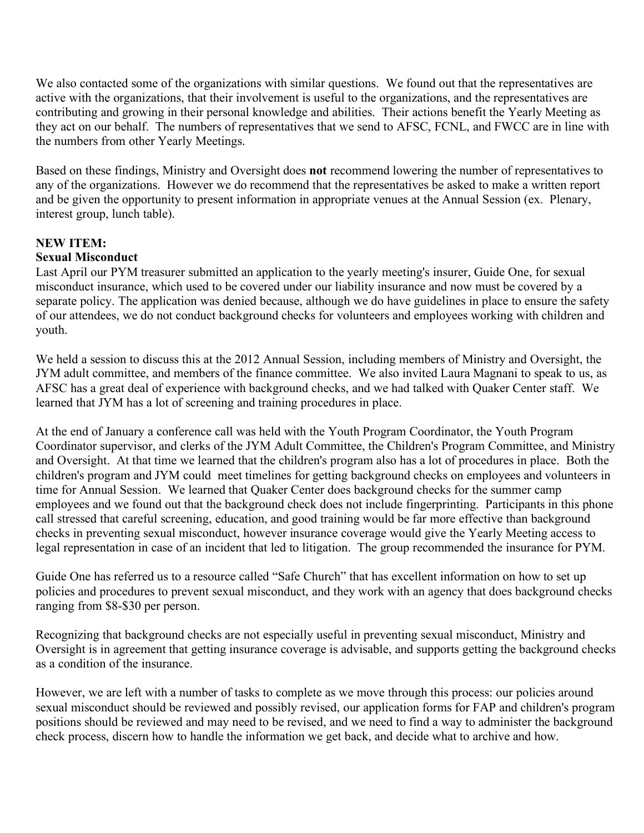We also contacted some of the organizations with similar questions. We found out that the representatives are active with the organizations, that their involvement is useful to the organizations, and the representatives are contributing and growing in their personal knowledge and abilities. Their actions benefit the Yearly Meeting as they act on our behalf. The numbers of representatives that we send to AFSC, FCNL, and FWCC are in line with the numbers from other Yearly Meetings.

Based on these findings, Ministry and Oversight does **not** recommend lowering the number of representatives to any of the organizations. However we do recommend that the representatives be asked to make a written report and be given the opportunity to present information in appropriate venues at the Annual Session (ex. Plenary, interest group, lunch table).

# **NEW ITEM:**

### **Sexual Misconduct**

Last April our PYM treasurer submitted an application to the yearly meeting's insurer, Guide One, for sexual misconduct insurance, which used to be covered under our liability insurance and now must be covered by a separate policy. The application was denied because, although we do have guidelines in place to ensure the safety of our attendees, we do not conduct background checks for volunteers and employees working with children and youth.

We held a session to discuss this at the 2012 Annual Session, including members of Ministry and Oversight, the JYM adult committee, and members of the finance committee. We also invited Laura Magnani to speak to us, as AFSC has a great deal of experience with background checks, and we had talked with Quaker Center staff. We learned that JYM has a lot of screening and training procedures in place.

At the end of January a conference call was held with the Youth Program Coordinator, the Youth Program Coordinator supervisor, and clerks of the JYM Adult Committee, the Children's Program Committee, and Ministry and Oversight. At that time we learned that the children's program also has a lot of procedures in place. Both the children's program and JYM could meet timelines for getting background checks on employees and volunteers in time for Annual Session. We learned that Quaker Center does background checks for the summer camp employees and we found out that the background check does not include fingerprinting. Participants in this phone call stressed that careful screening, education, and good training would be far more effective than background checks in preventing sexual misconduct, however insurance coverage would give the Yearly Meeting access to legal representation in case of an incident that led to litigation. The group recommended the insurance for PYM.

Guide One has referred us to a resource called "Safe Church" that has excellent information on how to set up policies and procedures to prevent sexual misconduct, and they work with an agency that does background checks ranging from \$8-\$30 per person.

Recognizing that background checks are not especially useful in preventing sexual misconduct, Ministry and Oversight is in agreement that getting insurance coverage is advisable, and supports getting the background checks as a condition of the insurance.

However, we are left with a number of tasks to complete as we move through this process: our policies around sexual misconduct should be reviewed and possibly revised, our application forms for FAP and children's program positions should be reviewed and may need to be revised, and we need to find a way to administer the background check process, discern how to handle the information we get back, and decide what to archive and how.